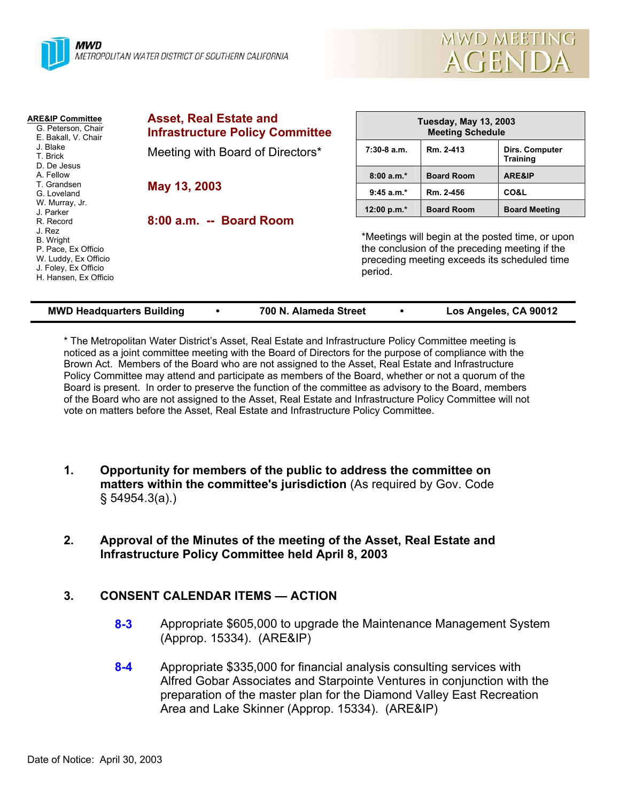



| <b>ARE&amp;IP Committee</b><br>G. Peterson, Chair<br>E. Bakall, V. Chair<br>J. Blake<br>T. Brick<br>D. De Jesus                  | <b>Asset, Real Estate and</b><br><b>Infrastructure Policy Committee</b> | <b>Tuesday, May 13, 2003</b><br><b>Meeting Schedule</b> |                                                                                                                                                    |                                          |  |
|----------------------------------------------------------------------------------------------------------------------------------|-------------------------------------------------------------------------|---------------------------------------------------------|----------------------------------------------------------------------------------------------------------------------------------------------------|------------------------------------------|--|
|                                                                                                                                  | Meeting with Board of Directors*                                        | $7:30-8$ a.m.                                           | Rm. 2-413                                                                                                                                          | <b>Dirs. Computer</b><br><b>Training</b> |  |
| A. Fellow                                                                                                                        |                                                                         | $8:00a.m.*$                                             | <b>Board Room</b>                                                                                                                                  | <b>ARE&amp;IP</b>                        |  |
| T. Grandsen<br>G. Loveland                                                                                                       | May 13, 2003                                                            | $9:45 a.m.*$                                            | Rm. 2-456                                                                                                                                          | <b>CO&amp;L</b>                          |  |
| W. Murray, Jr.<br>J. Parker                                                                                                      |                                                                         | 12:00 p.m.*                                             | <b>Board Room</b>                                                                                                                                  | <b>Board Meeting</b>                     |  |
| R. Record<br>J. Rez<br>B. Wright<br>P. Pace, Ex Officio<br>W. Luddy, Ex Officio<br>J. Foley, Ex Officio<br>H. Hansen, Ex Officio | 8:00 a.m. -- Board Room                                                 | period.                                                 | *Meetings will begin at the posted time, or upon<br>the conclusion of the preceding meeting if the<br>preceding meeting exceeds its scheduled time |                                          |  |

| <b>MWD Headquarters Building</b> |  | 700 N. Alameda Street |  | Los Angeles, CA 90012 |
|----------------------------------|--|-----------------------|--|-----------------------|
|----------------------------------|--|-----------------------|--|-----------------------|

\* The Metropolitan Water District's Asset, Real Estate and Infrastructure Policy Committee meeting is noticed as a joint committee meeting with the Board of Directors for the purpose of compliance with the Brown Act. Members of the Board who are not assigned to the Asset, Real Estate and Infrastructure Policy Committee may attend and participate as members of the Board, whether or not a quorum of the Board is present. In order to preserve the function of the committee as advisory to the Board, members of the Board who are not assigned to the Asset, Real Estate and Infrastructure Policy Committee will not vote on matters before the Asset, Real Estate and Infrastructure Policy Committee.

- **1. Opportunity for members of the public to address the committee on matters within the committee's jurisdiction** (As required by Gov. Code § 54954.3(a).)
- **2. Approval of the Minutes of the meeting of the Asset, Real Estate and Infrastructure Policy Committee held April 8, 2003**

# **3. CONSENT CALENDAR ITEMS — ACTION**

- **8-3** Appropriate \$605,000 to upgrade the Maintenance Management System (Approp. 15334). (ARE&IP)
- **8-4** Appropriate \$335,000 for financial analysis consulting services with Alfred Gobar Associates and Starpointe Ventures in conjunction with the preparation of the master plan for the Diamond Valley East Recreation Area and Lake Skinner (Approp. 15334). (ARE&IP)